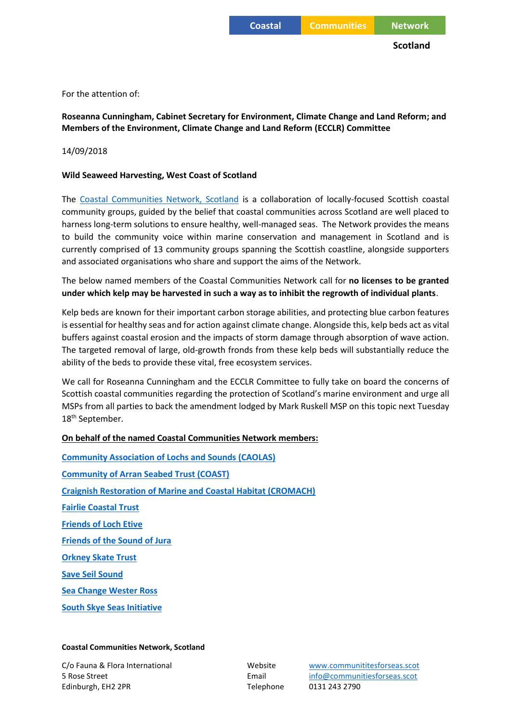For the attention of:

**Roseanna Cunningham, Cabinet Secretary for Environment, Climate Change and Land Reform; and Members of the Environment, Climate Change and Land Reform (ECCLR) Committee**

14/09/2018

## **Wild Seaweed Harvesting, West Coast of Scotland**

The [Coastal Communities Network, Scotland](http://www.communitiesforseas.scot/) is a collaboration of locally-focused Scottish coastal community groups, guided by the belief that coastal communities across Scotland are well placed to harness long-term solutions to ensure healthy, well-managed seas. The Network provides the means to build the community voice within marine conservation and management in Scotland and is currently comprised of 13 community groups spanning the Scottish coastline, alongside supporters and associated organisations who share and support the aims of the Network.

The below named members of the Coastal Communities Network call for **no licenses to be granted under which kelp may be harvested in such a way as to inhibit the regrowth of individual plants**.

Kelp beds are known for their important carbon storage abilities, and protecting blue carbon features is essential for healthy seas and for action against climate change. Alongside this, kelp beds act as vital buffers against coastal erosion and the impacts of storm damage through absorption of wave action. The targeted removal of large, old-growth fronds from these kelp beds will substantially reduce the ability of the beds to provide these vital, free ecosystem services.

We call for Roseanna Cunningham and the ECCLR Committee to fully take on board the concerns of Scottish coastal communities regarding the protection of Scotland's marine environment and urge all MSPs from all parties to back the amendment lodged by Mark Ruskell MSP on this topic next Tuesday 18<sup>th</sup> September.

## **On behalf of the named Coastal Communities Network members:**

**[Community Association of Lochs and Sounds \(CAOLAS\)](http://www.caolas.org/) [Community of Arran Seabed Trust \(COAST\)](http://arrancoast.com/) [Craignish Restoration of Marine and Coastal Habitat \(CROMACH\)](https://www.communitiesforseas.scot/about-the-network/community-groups/craignish-restoration-marine-coastal-habitat-cromach/) [Fairlie Coastal Trust](http://www.fairliecoastal.org/) [Friends of Loch Etive](http://lochetive.org/) [Friends of the Sound of Jura](ttps://www.friendsofthesoundofjura.org.uk/) [Orkney Skate Trust](https://www.communitiesforseas.scot/about-the-network/community-groups/orkney-skate-trust/) [Save Seil Sound](https://www.communitiesforseas.scot/about-the-network/community-groups/save-seil-sound/) [Sea Change Wester Ross](http://seachangewesterross.co.uk/) [South Skye Seas](http://www.southskyeseas.org.uk/) Initiative**

## **Coastal Communities Network, Scotland**

5 Rose Street Email [info@communitiesforseas.scot](mailto:info@communitiesforseas.scot) Edinburgh, EH2 2PR Telephone 0131 243 2790